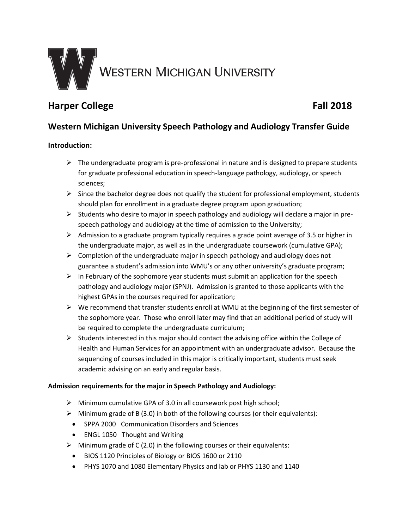

# **Harper College Fall 2018**

## **Western Michigan University Speech Pathology and Audiology Transfer Guide**

### **Introduction:**

- $\triangleright$  The undergraduate program is pre-professional in nature and is designed to prepare students for graduate professional education in speech-language pathology, audiology, or speech sciences;
- $\triangleright$  Since the bachelor degree does not qualify the student for professional employment, students should plan for enrollment in a graduate degree program upon graduation;
- $\triangleright$  Students who desire to major in speech pathology and audiology will declare a major in prespeech pathology and audiology at the time of admission to the University;
- $\triangleright$  Admission to a graduate program typically requires a grade point average of 3.5 or higher in the undergraduate major, as well as in the undergraduate coursework (cumulative GPA);
- $\triangleright$  Completion of the undergraduate major in speech pathology and audiology does not guarantee a student's admission into WMU's or any other university's graduate program;
- $\triangleright$  In February of the sophomore year students must submit an application for the speech pathology and audiology major (SPNJ). Admission is granted to those applicants with the highest GPAs in the courses required for application;
- $\triangleright$  We recommend that transfer students enroll at WMU at the beginning of the first semester of the sophomore year. Those who enroll later may find that an additional period of study will be required to complete the undergraduate curriculum;
- $\triangleright$  Students interested in this major should contact the advising office within the College of Health and Human Services for an appointment with an undergraduate advisor. Because the sequencing of courses included in this major is critically important, students must seek academic advising on an early and regular basis.

#### **Admission requirements for the major in Speech Pathology and Audiology:**

- $\triangleright$  Minimum cumulative GPA of 3.0 in all coursework post high school;
- $\triangleright$  Minimum grade of B (3.0) in both of the following courses (or their equivalents):
- SPPA 2000 Communication Disorders and Sciences
- ENGL 1050 Thought and Writing
- $\triangleright$  Minimum grade of C (2.0) in the following courses or their equivalents:
	- BIOS 1120 Principles of Biology or BIOS 1600 or 2110
	- PHYS 1070 and 1080 Elementary Physics and lab or PHYS 1130 and 1140